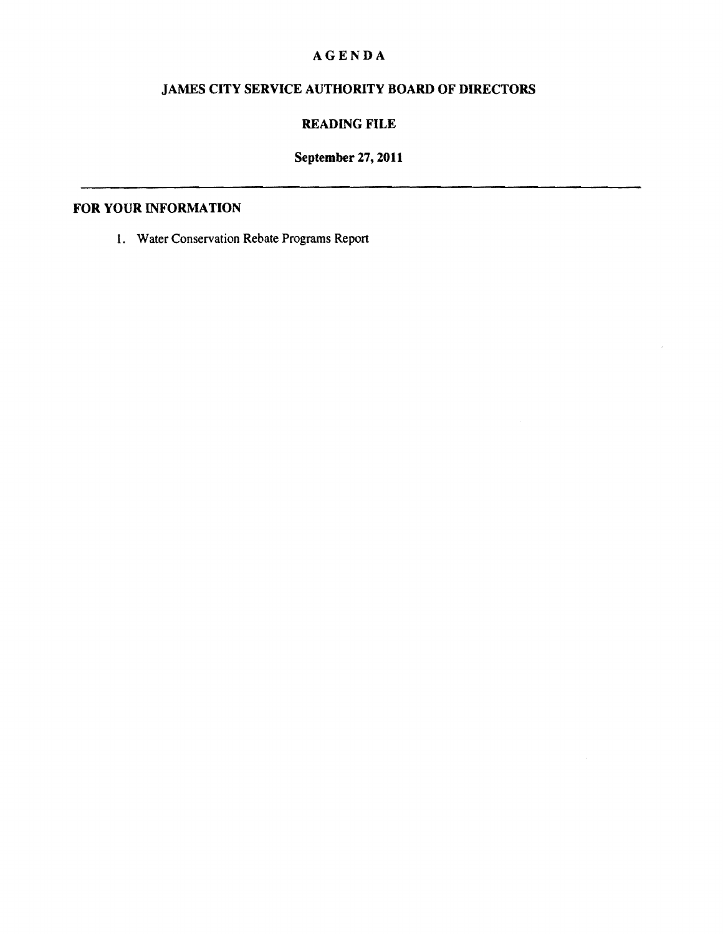# **AGENDA**

# **JAMES CITY SERVICE AUTHORITY BOARD OF DIRECTORS**

## **READING FILE**

# **September 27, 2011**

### **FOR** YOUR INFORMATION

1. Water Conservation Rebate Programs Report